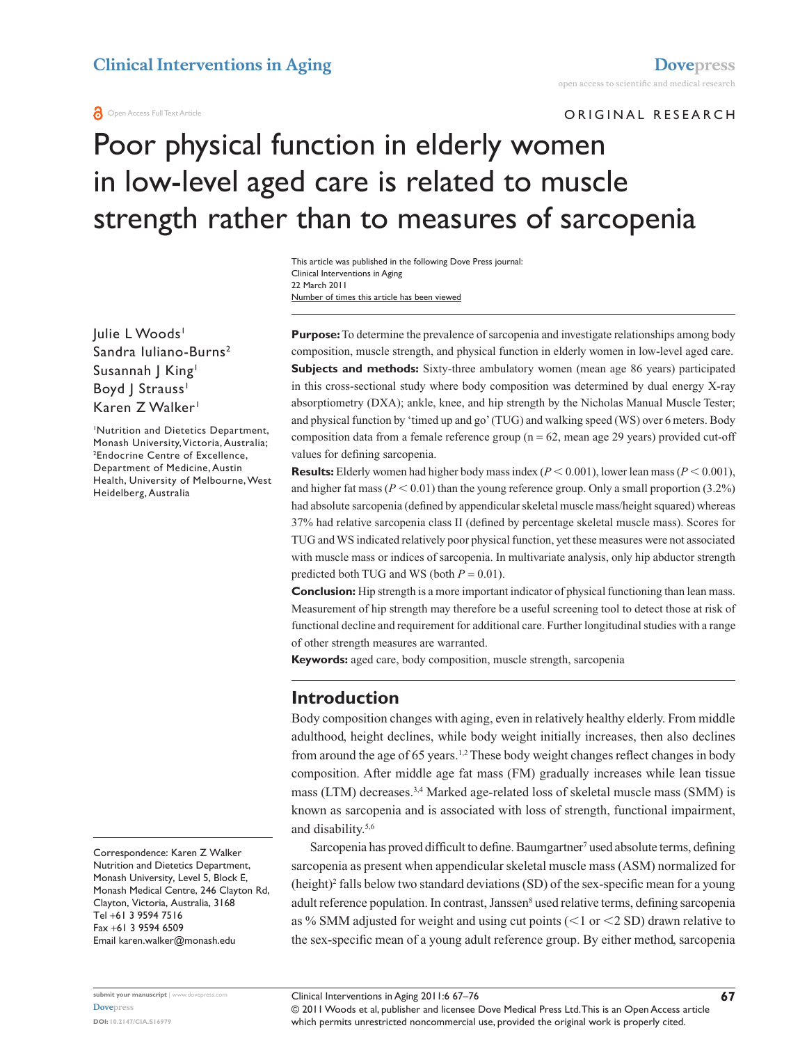ORIGINAL RESEARCH

# Poor physical function in elderly women in low-level aged care is related to muscle strength rather than to measures of sarcopenia

Number of times this article has been viewed This article was published in the following Dove Press journal: Clinical Interventions in Aging 22 March 2011

Julie L Woods<sup>1</sup> Sandra Iuliano-Burns<sup>2</sup> Susannah | King<sup>1</sup> Boyd | Strauss<sup>1</sup> Karen Z Walker<sup>1</sup>

1 Nutrition and Dietetics Department, Monash University, Victoria, Australia; 2 Endocrine Centre of Excellence, Department of Medicine, Austin Health, University of Melbourne, West Heidelberg, Australia

Correspondence: Karen Z Walker Nutrition and Dietetics Department, Monash University, Level 5, Block E, Monash Medical Centre, 246 Clayton Rd, Clayton, Victoria, Australia, 3168 Tel +61 3 9594 7516 Fax +61 3 9594 6509 Email [karen.walker@monash.edu](mailto:karen.walker@monash.edu)

**Purpose:** To determine the prevalence of sarcopenia and investigate relationships among body composition, muscle strength, and physical function in elderly women in low-level aged care. **Subjects and methods:** Sixty-three ambulatory women (mean age 86 years) participated in this cross-sectional study where body composition was determined by dual energy x-ray absorptiometry (DXA); ankle, knee, and hip strength by the Nicholas Manual Muscle Tester; and physical function by 'timed up and go' (TUG) and walking speed (WS) over 6 meters. Body composition data from a female reference group ( $n = 62$ , mean age 29 years) provided cut-off values for defining sarcopenia.

**Results:** Elderly women had higher body mass index ( $P < 0.001$ ), lower lean mass ( $P < 0.001$ ), and higher fat mass ( $P < 0.01$ ) than the young reference group. Only a small proportion (3.2%) had absolute sarcopenia (defined by appendicular skeletal muscle mass/height squared) whereas 37% had relative sarcopenia class II (defined by percentage skeletal muscle mass). Scores for TUG and WS indicated relatively poor physical function, yet these measures were not associated with muscle mass or indices of sarcopenia. In multivariate analysis, only hip abductor strength predicted both TUG and WS (both  $P = 0.01$ ).

**Conclusion:** Hip strength is a more important indicator of physical functioning than lean mass. Measurement of hip strength may therefore be a useful screening tool to detect those at risk of functional decline and requirement for additional care. Further longitudinal studies with a range of other strength measures are warranted.

**Keywords:** aged care, body composition, muscle strength, sarcopenia

### **Introduction**

Body composition changes with aging, even in relatively healthy elderly. From middle adulthood, height declines, while body weight initially increases, then also declines from around the age of 65 years.1,2 These body weight changes reflect changes in body composition. After middle age fat mass (FM) gradually increases while lean tissue mass (LTM) decreases.3,4 Marked age-related loss of skeletal muscle mass (SMM) is known as sarcopenia and is associated with loss of strength, functional impairment, and disability.<sup>5,6</sup>

Sarcopenia has proved difficult to define. Baumgartner<sup>7</sup> used absolute terms, defining sarcopenia as present when appendicular skeletal muscle mass (ASM) normalized for (height)<sup>2</sup> falls below two standard deviations (SD) of the sex-specific mean for a young adult reference population. In contrast, Janssen<sup>8</sup> used relative terms, defining sarcopenia as % SMM adjusted for weight and using cut points  $(<1$  or  $<$  2 SD) drawn relative to the sex-specific mean of a young adult reference group. By either method, sarcopenia

© 2011 Woods et al, publisher and licensee Dove Medical Press Ltd. This is an Open Access article which permits unrestricted noncommercial use, provided the original work is properly cited.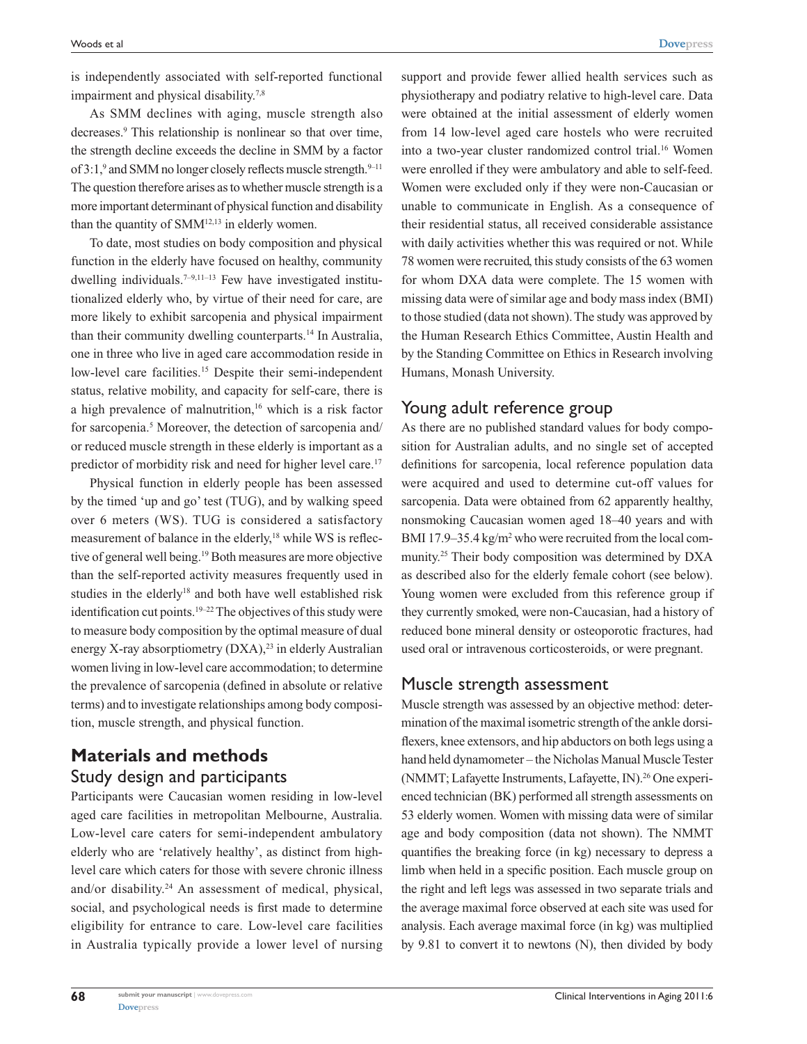is independently associated with self-reported functional impairment and physical disability.<sup>7,8</sup>

As SMM declines with aging, muscle strength also decreases.<sup>9</sup> This relationship is nonlinear so that over time, the strength decline exceeds the decline in SMM by a factor of 3:1,<sup>9</sup> and SMM no longer closely reflects muscle strength.<sup>9-11</sup> The question therefore arises as to whether muscle strength is a more important determinant of physical function and disability than the quantity of SMM<sup>12,13</sup> in elderly women.

To date, most studies on body composition and physical function in the elderly have focused on healthy, community dwelling individuals.7–9,11–13 Few have investigated institutionalized elderly who, by virtue of their need for care, are more likely to exhibit sarcopenia and physical impairment than their community dwelling counterparts.14 In Australia, one in three who live in aged care accommodation reside in low-level care facilities.<sup>15</sup> Despite their semi-independent status, relative mobility, and capacity for self-care, there is a high prevalence of malnutrition, $16$  which is a risk factor for sarcopenia.<sup>5</sup> Moreover, the detection of sarcopenia and/ or reduced muscle strength in these elderly is important as a predictor of morbidity risk and need for higher level care.<sup>17</sup>

Physical function in elderly people has been assessed by the timed 'up and go' test (TUG), and by walking speed over 6 meters (WS). TUG is considered a satisfactory measurement of balance in the elderly,<sup>18</sup> while WS is reflective of general well being.<sup>19</sup> Both measures are more objective than the self-reported activity measures frequently used in studies in the elderly<sup>18</sup> and both have well established risk identification cut points.<sup>19–22</sup> The objectives of this study were to measure body composition by the optimal measure of dual energy X-ray absorptiometry (DXA),<sup>23</sup> in elderly Australian women living in low-level care accommodation; to determine the prevalence of sarcopenia (defined in absolute or relative terms) and to investigate relationships among body composition, muscle strength, and physical function.

# **Materials and methods** Study design and participants

Participants were Caucasian women residing in low-level aged care facilities in metropolitan Melbourne, Australia. Low-level care caters for semi-independent ambulatory elderly who are 'relatively healthy', as distinct from highlevel care which caters for those with severe chronic illness and/or disability.<sup>24</sup> An assessment of medical, physical, social, and psychological needs is first made to determine eligibility for entrance to care. Low-level care facilities in Australia typically provide a lower level of nursing support and provide fewer allied health services such as physiotherapy and podiatry relative to high-level care. Data were obtained at the initial assessment of elderly women from 14 low-level aged care hostels who were recruited into a two-year cluster randomized control trial.16 Women were enrolled if they were ambulatory and able to self-feed. Women were excluded only if they were non-Caucasian or unable to communicate in English. As a consequence of their residential status, all received considerable assistance with daily activities whether this was required or not. While 78 women were recruited, this study consists of the 63 women for whom DXA data were complete. The 15 women with missing data were of similar age and body mass index (BMI) to those studied (data not shown). The study was approved by the Human Research Ethics Committee, Austin Health and by the Standing Committee on Ethics in Research involving Humans, Monash University.

# Young adult reference group

As there are no published standard values for body composition for Australian adults, and no single set of accepted definitions for sarcopenia, local reference population data were acquired and used to determine cut-off values for sarcopenia. Data were obtained from 62 apparently healthy, nonsmoking Caucasian women aged 18–40 years and with BMI 17.9-35.4 kg/m<sup>2</sup> who were recruited from the local community.25 Their body composition was determined by DXA as described also for the elderly female cohort (see below). Young women were excluded from this reference group if they currently smoked, were non-Caucasian, had a history of reduced bone mineral density or osteoporotic fractures, had used oral or intravenous corticosteroids, or were pregnant.

# Muscle strength assessment

Muscle strength was assessed by an objective method: determination of the maximal isometric strength of the ankle dorsiflexers, knee extensors, and hip abductors on both legs using a hand held dynamometer – the Nicholas Manual Muscle Tester (NMMT; Lafayette Instruments, Lafayette, IN).26 One experienced technician (BK) performed all strength assessments on 53 elderly women. Women with missing data were of similar age and body composition (data not shown). The NMMT quantifies the breaking force (in kg) necessary to depress a limb when held in a specific position. Each muscle group on the right and left legs was assessed in two separate trials and the average maximal force observed at each site was used for analysis. Each average maximal force (in kg) was multiplied by 9.81 to convert it to newtons (N), then divided by body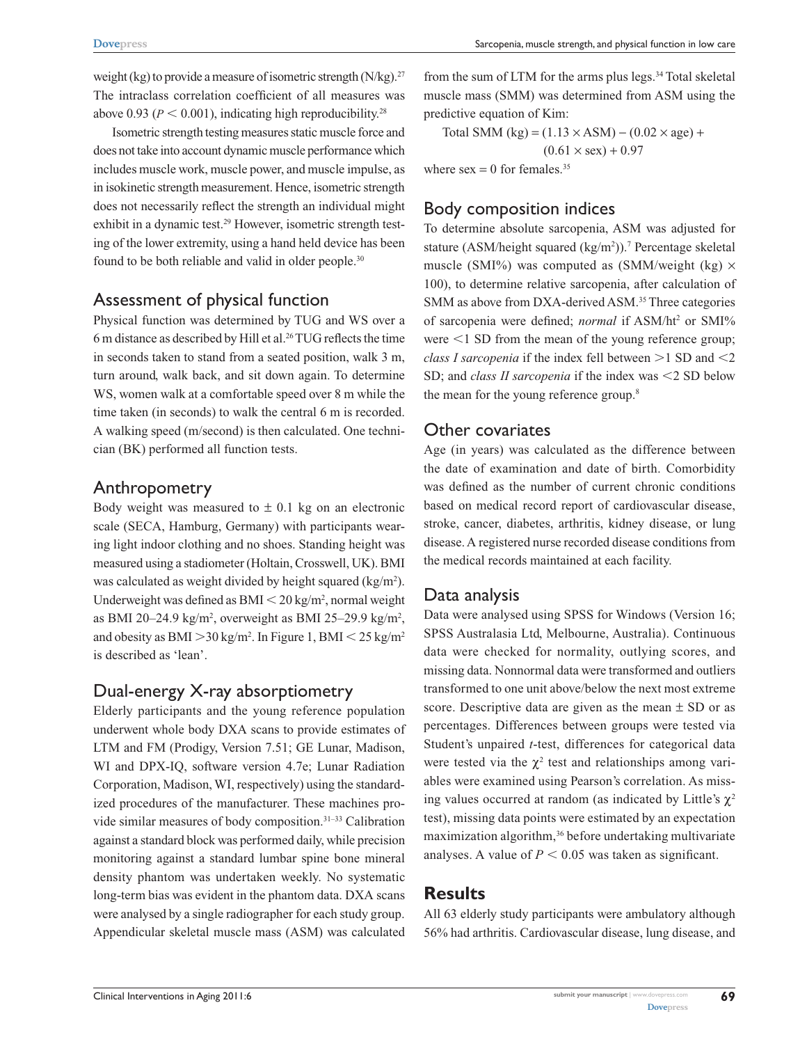weight (kg) to provide a measure of isometric strength  $(N/kg)$ .<sup>27</sup> The intraclass correlation coefficient of all measures was above 0.93 ( $P < 0.001$ ), indicating high reproducibility.<sup>28</sup>

Isometric strength testing measures static muscle force and does not take into account dynamic muscle performance which includes muscle work, muscle power, and muscle impulse, as in isokinetic strength measurement. Hence, isometric strength does not necessarily reflect the strength an individual might exhibit in a dynamic test.<sup>29</sup> However, isometric strength testing of the lower extremity, using a hand held device has been found to be both reliable and valid in older people.<sup>30</sup>

### Assessment of physical function

Physical function was determined by TUG and WS over a 6 m distance as described by Hill et al.26 TUG reflects the time in seconds taken to stand from a seated position, walk 3 m, turn around, walk back, and sit down again. To determine WS, women walk at a comfortable speed over 8 m while the time taken (in seconds) to walk the central 6 m is recorded. A walking speed (m/second) is then calculated. One technician (BK) performed all function tests.

#### Anthropometry

Body weight was measured to  $\pm$  0.1 kg on an electronic scale (SECA, Hamburg, Germany) with participants wearing light indoor clothing and no shoes. Standing height was measured using a stadiometer (Holtain, Crosswell, UK). BMI was calculated as weight divided by height squared  $(kg/m<sup>2</sup>)$ . Underweight was defined as  $BMI < 20$  kg/m<sup>2</sup>, normal weight as BMI 20-24.9 kg/m<sup>2</sup>, overweight as BMI 25-29.9 kg/m<sup>2</sup>, and obesity as BMI  $>$  30 kg/m<sup>2</sup>. In Figure 1, BMI  $<$  25 kg/m<sup>2</sup> is described as 'lean'.

# Dual-energy x-ray absorptiometry

Elderly participants and the young reference population underwent whole body DXA scans to provide estimates of LTM and FM (Prodigy, Version 7.51; GE Lunar, Madison, WI and DPX-IQ, software version 4.7e; Lunar Radiation Corporation, Madison, WI, respectively) using the standardized procedures of the manufacturer. These machines provide similar measures of body composition.31–33 Calibration against a standard block was performed daily, while precision monitoring against a standard lumbar spine bone mineral density phantom was undertaken weekly. No systematic long-term bias was evident in the phantom data. DXA scans were analysed by a single radiographer for each study group. Appendicular skeletal muscle mass (ASM) was calculated

from the sum of LTM for the arms plus legs.<sup>34</sup> Total skeletal muscle mass (SMM) was determined from ASM using the predictive equation of Kim:

Total SMM  $(kg) = (1.13 \times$ ASM $) - (0.02 \times$ age $) +$  $(0.61 \times$  sex) + 0.97

where  $sex = 0$  for females.<sup>35</sup>

# Body composition indices

To determine absolute sarcopenia, ASM was adjusted for stature (ASM/height squared  $\frac{\text{kg}}{m^2}$ ).<sup>7</sup> Percentage skeletal muscle (SMI%) was computed as (SMM/weight (kg)  $\times$ 100), to determine relative sarcopenia, after calculation of SMM as above from DXA-derived ASM.<sup>35</sup> Three categories of sarcopenia were defined; *normal* if ASM/ht<sup>2</sup> or SMI% were  $\leq$ 1 SD from the mean of the young reference group; *class I sarcopenia* if the index fell between  $>1$  SD and  $<$ 2 SD; and *class II sarcopenia* if the index was <2 SD below the mean for the young reference group.<sup>8</sup>

### Other covariates

Age (in years) was calculated as the difference between the date of examination and date of birth. Comorbidity was defined as the number of current chronic conditions based on medical record report of cardiovascular disease, stroke, cancer, diabetes, arthritis, kidney disease, or lung disease. A registered nurse recorded disease conditions from the medical records maintained at each facility.

### Data analysis

Data were analysed using SPSS for Windows (Version 16; SPSS Australasia Ltd, Melbourne, Australia). Continuous data were checked for normality, outlying scores, and missing data. Nonnormal data were transformed and outliers transformed to one unit above/below the next most extreme score. Descriptive data are given as the mean  $\pm$  SD or as percentages. Differences between groups were tested via Student's unpaired *t*-test, differences for categorical data were tested via the  $\chi^2$  test and relationships among variables were examined using Pearson's correlation. As missing values occurred at random (as indicated by Little's  $\chi^2$ test), missing data points were estimated by an expectation maximization algorithm,<sup>36</sup> before undertaking multivariate analyses. A value of  $P < 0.05$  was taken as significant.

# **Results**

All 63 elderly study participants were ambulatory although 56% had arthritis. Cardiovascular disease, lung disease, and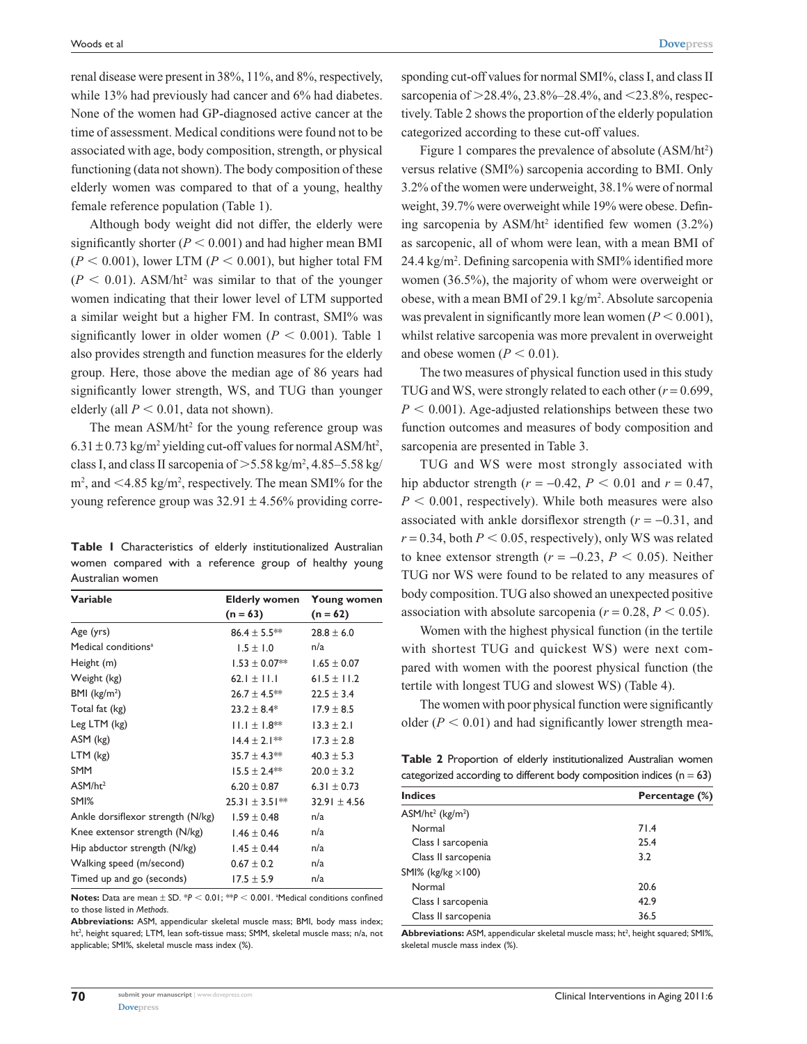renal disease were present in 38%, 11%, and 8%, respectively, while 13% had previously had cancer and 6% had diabetes. None of the women had GP-diagnosed active cancer at the time of assessment. Medical conditions were found not to be associated with age, body composition, strength, or physical functioning (data not shown). The body composition of these elderly women was compared to that of a young, healthy female reference population (Table 1).

Although body weight did not differ, the elderly were significantly shorter  $(P < 0.001)$  and had higher mean BMI  $(P < 0.001)$ , lower LTM ( $P < 0.001$ ), but higher total FM  $(P < 0.01)$ . ASM/ht<sup>2</sup> was similar to that of the younger women indicating that their lower level of LTM supported a similar weight but a higher FM. In contrast, SMI% was significantly lower in older women ( $P < 0.001$ ). Table 1 also provides strength and function measures for the elderly group. Here, those above the median age of 86 years had significantly lower strength, WS, and TUG than younger elderly (all  $P < 0.01$ , data not shown).

The mean  $\text{ASM/ht}^2$  for the young reference group was  $6.31 \pm 0.73$  kg/m<sup>2</sup> yielding cut-off values for normal ASM/ht<sup>2</sup>, class I, and class II sarcopenia of  $> 5.58$  kg/m<sup>2</sup>, 4.85–5.58 kg/  $\rm m^2$ , and  $\rm < 4.85 \ kg/m^2$ , respectively. The mean SMI% for the young reference group was  $32.91 \pm 4.56\%$  providing corre-

**Table 1** Characteristics of elderly institutionalized Australian women compared with a reference group of healthy young Australian women

| <b>Variable</b>                   | <b>Elderly women</b> | <b>Young women</b> |  |  |
|-----------------------------------|----------------------|--------------------|--|--|
|                                   | $(n = 63)$           | $(n = 62)$         |  |  |
| Age (yrs)                         | $86.4 \pm 5.5***$    | $28.8 \pm 6.0$     |  |  |
| Medical conditions <sup>a</sup>   | $1.5 \pm 1.0$        | n/a                |  |  |
| Height (m)                        | $1.53 \pm 0.07**$    | $1.65 \pm 0.07$    |  |  |
| Weight (kg)                       | $62.1 \pm 11.1$      | $61.5 \pm 11.2$    |  |  |
| BMI $(kg/m2)$                     | $26.7 \pm 4.5***$    | $22.5 \pm 3.4$     |  |  |
| Total fat (kg)                    | $23.2 \pm 8.4*$      | $17.9 \pm 8.5$     |  |  |
| Leg LTM (kg)                      | $11.1 \pm 1.8$ **    | $13.3 \pm 2.1$     |  |  |
| ASM (kg)                          | $14.4 \pm 2.1***$    | $17.3 \pm 2.8$     |  |  |
| $LTM$ ( $kg$ )                    | $35.7 \pm 4.3$ **    | $40.3 \pm 5.3$     |  |  |
| <b>SMM</b>                        | $15.5 \pm 2.4$ **    | $20.0 \pm 3.2$     |  |  |
| ASM/ht <sup>2</sup>               | $6.20 \pm 0.87$      | 6.31 $\pm$ 0.73    |  |  |
| SMI%                              | $25.31 \pm 3.51$ **  | $32.91 \pm 4.56$   |  |  |
| Ankle dorsiflexor strength (N/kg) | $1.59 \pm 0.48$      | n/a                |  |  |
| Knee extensor strength (N/kg)     | $1.46 \pm 0.46$      | n/a                |  |  |
| Hip abductor strength (N/kg)      | $1.45 \pm 0.44$      | n/a                |  |  |
| Walking speed (m/second)          | $0.67 \pm 0.2$       | n/a                |  |  |
| Timed up and go (seconds)         | $17.5 \pm 5.9$       | n/a                |  |  |

**Notes:** Data are mean  $\pm$  SD.  $*P < 0.01$ ;  $**P < 0.001$ . aMedical conditions confined to those listed in *Methods*.

**Abbreviations:** ASM, appendicular skeletal muscle mass; BMI, body mass index; ht<sup>2</sup>, height squared; LTM, lean soft-tissue mass; SMM, skeletal muscle mass; n/a, not applicable; SMI%, skeletal muscle mass index (%).

sponding cut-off values for normal SMI%, class I, and class II sarcopenia of  $>28.4\%$ , 23.8%–28.4%, and <23.8%, respectively. Table 2 shows the proportion of the elderly population categorized according to these cut-off values.

Figure 1 compares the prevalence of absolute (ASM/ht<sup>2</sup>) versus relative (SMI%) sarcopenia according to BMI. Only 3.2% of the women were underweight, 38.1% were of normal weight, 39.7% were overweight while 19% were obese. Defining sarcopenia by  $\text{ASM/ht}^2$  identified few women  $(3.2\%)$ as sarcopenic, all of whom were lean, with a mean BMI of 24.4 kg/m2 . Defining sarcopenia with SMI% identified more women (36.5%), the majority of whom were overweight or obese, with a mean BMI of 29.1 kg/m<sup>2</sup>. Absolute sarcopenia was prevalent in significantly more lean women  $(P < 0.001)$ , whilst relative sarcopenia was more prevalent in overweight and obese women ( $P < 0.01$ ).

The two measures of physical function used in this study TUG and WS, were strongly related to each other  $(r = 0.699,$  $P < 0.001$ ). Age-adjusted relationships between these two function outcomes and measures of body composition and sarcopenia are presented in Table 3.

TUG and WS were most strongly associated with hip abductor strength ( $r = -0.42$ ,  $P < 0.01$  and  $r = 0.47$ ,  $P < 0.001$ , respectively). While both measures were also associated with ankle dorsiflexor strength (*r* = −0.31, and  $r = 0.34$ , both  $P \le 0.05$ , respectively), only WS was related to knee extensor strength ( $r = -0.23$ ,  $P < 0.05$ ). Neither TUG nor WS were found to be related to any measures of body composition. TUG also showed an unexpected positive association with absolute sarcopenia ( $r = 0.28$ ,  $P < 0.05$ ).

Women with the highest physical function (in the tertile with shortest TUG and quickest WS) were next compared with women with the poorest physical function (the tertile with longest TUG and slowest WS) (Table 4).

The women with poor physical function were significantly older  $(P < 0.01)$  and had significantly lower strength mea-

**Table 2** Proportion of elderly institutionalized Australian women categorized according to different body composition indices  $(n = 63)$ 

| advertised access and to ansert and soul, composition marcos (i) |                |  |  |
|------------------------------------------------------------------|----------------|--|--|
| <b>Indices</b>                                                   | Percentage (%) |  |  |
| $ASM/ht^2$ (kg/m <sup>2</sup> )                                  |                |  |  |
| Normal                                                           | 71.4           |  |  |
| Class I sarcopenia                                               | 25.4           |  |  |
| Class II sarcopenia                                              | 3.2            |  |  |
| SMI% ( $kg/kg \times 100$ )                                      |                |  |  |
| Normal                                                           | 20.6           |  |  |
| Class I sarcopenia                                               | 42.9           |  |  |
| Class II sarcopenia                                              | 36.5           |  |  |

Abbreviations: ASM, appendicular skeletal muscle mass; ht<sup>2</sup>, height squared; SMI%, skeletal muscle mass index (%).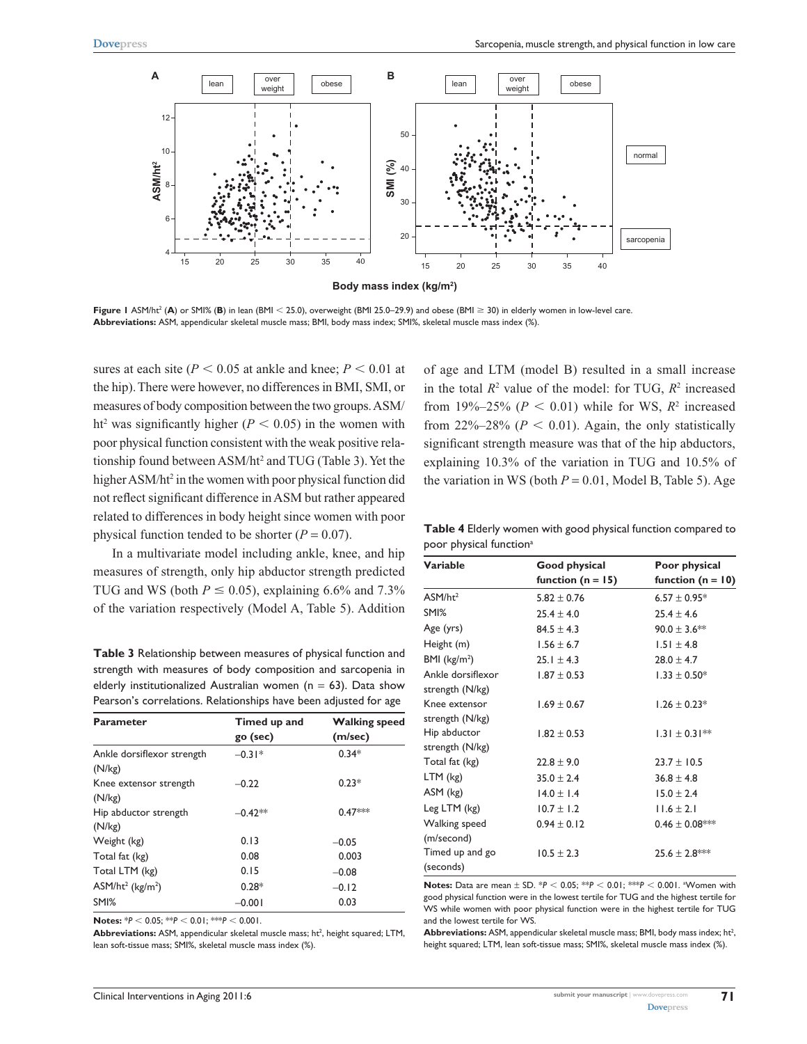

**Figure I** ASM/ht<sup>2</sup> (A) or SMI% (B) in lean (BMI < 25.0), overweight (BMI 25.0–29.9) and obese (BMI ≥ 30) in elderly women in low-level care. **Abbreviations:** ASM, appendicular skeletal muscle mass; BMI, body mass index; SMI%, skeletal muscle mass index (%).

sures at each site ( $P < 0.05$  at ankle and knee;  $P < 0.01$  at the hip). There were however, no differences in BMI, SMI, or measures of body composition between the two groups. ASM/ ht<sup>2</sup> was significantly higher ( $P < 0.05$ ) in the women with poor physical function consistent with the weak positive relationship found between ASM/ht<sup>2</sup> and TUG (Table 3). Yet the higher ASM/ht<sup>2</sup> in the women with poor physical function did not reflect significant difference in ASM but rather appeared related to differences in body height since women with poor physical function tended to be shorter  $(P = 0.07)$ .

In a multivariate model including ankle, knee, and hip measures of strength, only hip abductor strength predicted TUG and WS (both  $P \le 0.05$ ), explaining 6.6% and 7.3% of the variation respectively (Model A, Table 5). Addition

**Table 3** Relationship between measures of physical function and strength with measures of body composition and sarcopenia in elderly institutionalized Australian women ( $n = 63$ ). Data show Pearson's correlations. Relationships have been adjusted for age

| <b>Parameter</b>                     | Timed up and | <b>Walking speed</b> |
|--------------------------------------|--------------|----------------------|
|                                      | go (sec)     | (m/sec)              |
| Ankle dorsiflexor strength<br>(N/kg) | $-0.31*$     | $0.34*$              |
| Knee extensor strength<br>(N/kg)     | $-0.22$      | $0.23*$              |
| Hip abductor strength<br>(N/kg)      | $-0.42**$    | $0.47***$            |
| Weight (kg)                          | 0.13         | $-0.05$              |
| Total fat (kg)                       | 0.08         | 0.003                |
| Total LTM (kg)                       | 0.15         | $-0.08$              |
| $ASM/ht^2$ (kg/m <sup>2</sup> )      | $0.28*$      | $-0.12$              |
| SMI%                                 | $-0.001$     | 0.03                 |

**Notes:**  $*P < 0.05$ ;  $**P < 0.01$ ;  $**P < 0.001$ .

Abbreviations: ASM, appendicular skeletal muscle mass; ht<sup>2</sup>, height squared; LTM, lean soft-tissue mass; SMI%, skeletal muscle mass index (%).

of age and LTM (model B) resulted in a small increase in the total  $R^2$  value of the model: for TUG,  $R^2$  increased from 19% $-25\%$  ( $P < 0.01$ ) while for WS,  $R^2$  increased from 22%–28% ( $P < 0.01$ ). Again, the only statistically significant strength measure was that of the hip abductors, explaining 10.3% of the variation in TUG and 10.5% of the variation in WS (both  $P = 0.01$ , Model B, Table 5). Age

**Table 4** Elderly women with good physical function compared to poor physical function<sup>a</sup>

| <b>Variable</b>     | Good physical         | Poor physical         |
|---------------------|-----------------------|-----------------------|
|                     | function ( $n = 15$ ) | function ( $n = 10$ ) |
| ASM/ht <sup>2</sup> | $5.82 \pm 0.76$       | $6.57 \pm 0.95*$      |
| SMI%                | $25.4 \pm 4.0$        | $25.4 \pm 4.6$        |
| Age (yrs)           | $84.5 \pm 4.3$        | $90.0 \pm 3.6***$     |
| Height (m)          | $1.56 \pm 6.7$        | $1.51 \pm 4.8$        |
| BMI $(kg/m2)$       | $25.1 \pm 4.3$        | $28.0 \pm 4.7$        |
| Ankle dorsiflexor   | $1.87 \pm 0.53$       | $1.33 \pm 0.50*$      |
| strength (N/kg)     |                       |                       |
| Knee extensor       | $1.69 \pm 0.67$       | $1.26 \pm 0.23*$      |
| strength (N/kg)     |                       |                       |
| Hip abductor        | $1.82 \pm 0.53$       | $1.31 \pm 0.31**$     |
| strength (N/kg)     |                       |                       |
| Total fat (kg)      | $22.8 \pm 9.0$        | $23.7 \pm 10.5$       |
| $LTM$ ( $kg$ )      | $35.0 \pm 2.4$        | $36.8 \pm 4.8$        |
| ASM (kg)            | $14.0 \pm 1.4$        | $15.0 \pm 2.4$        |
| Leg LTM (kg)        | $10.7 \pm 1.2$        | $11.6 \pm 2.1$        |
| Walking speed       | $0.94 \pm 0.12$       | $0.46 \pm 0.08$ ***   |
| (m/second)          |                       |                       |
| Timed up and go     | $10.5 \pm 2.3$        | $25.6 \pm 2.8$ ***    |
| (seconds)           |                       |                       |

**Notes:** Data are mean  $\pm$  SD.  $*P < 0.05$ ;  $**P < 0.01$ ;  $**P < 0.001$ . aWomen with good physical function were in the lowest tertile for TUG and the highest tertile for WS while women with poor physical function were in the highest tertile for TUG and the lowest tertile for WS.

Abbreviations: ASM, appendicular skeletal muscle mass; BMI, body mass index; ht<sup>2</sup>, height squared; LTM, lean soft-tissue mass; SMI%, skeletal muscle mass index (%).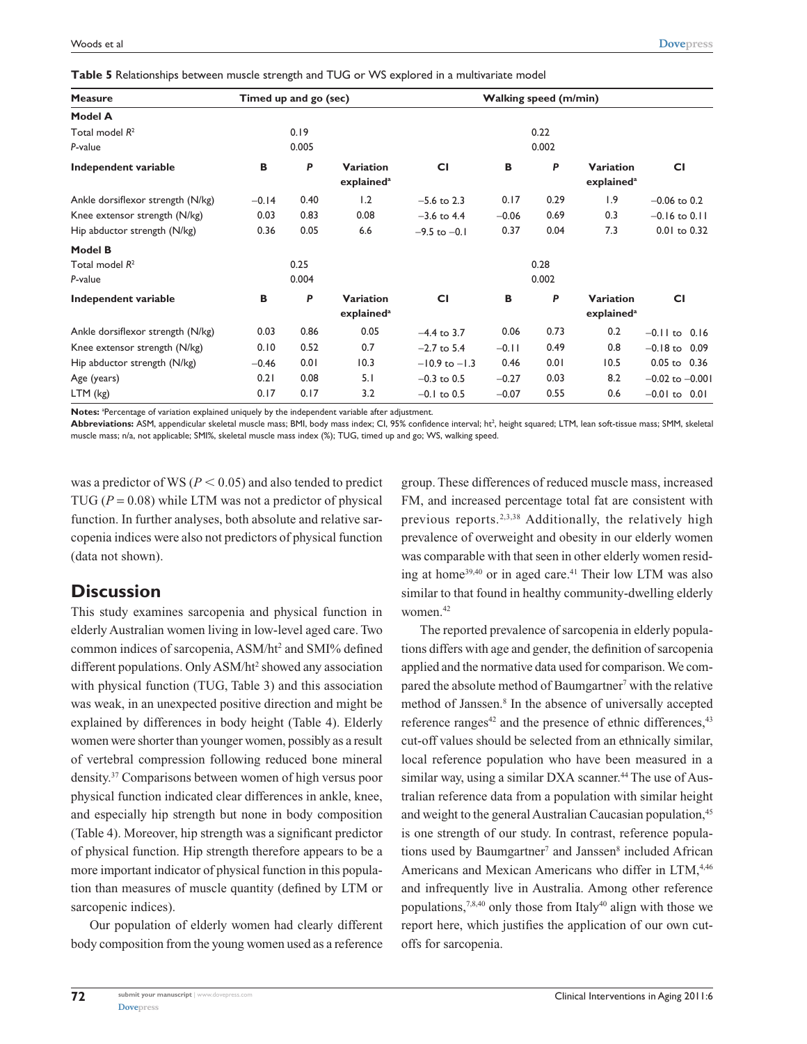**Table 5** Relationships between muscle strength and TUG or WS explored in a multivariate model

| <b>Measure</b>                    | Timed up and go (sec) |       |                                            | <b>Walking speed (m/min)</b> |         |       |                                            |                     |
|-----------------------------------|-----------------------|-------|--------------------------------------------|------------------------------|---------|-------|--------------------------------------------|---------------------|
| <b>Model A</b>                    |                       |       |                                            |                              |         |       |                                            |                     |
| Total model $R^2$                 |                       | 0.19  |                                            |                              |         | 0.22  |                                            |                     |
| P-value                           |                       | 0.005 |                                            |                              |         | 0.002 |                                            |                     |
| Independent variable              | В                     | P     | <b>Variation</b><br>explained <sup>a</sup> | <b>CI</b>                    | в       | P     | <b>Variation</b><br>explained <sup>a</sup> | <b>CI</b>           |
| Ankle dorsiflexor strength (N/kg) | $-0.14$               | 0.40  | 1.2                                        | $-5.6$ to 2.3                | 0.17    | 0.29  | 1.9                                        | $-0.06$ to 0.2      |
| Knee extensor strength (N/kg)     | 0.03                  | 0.83  | 0.08                                       | $-3.6$ to 4.4                | $-0.06$ | 0.69  | 0.3                                        | $-0.16$ to 0.11     |
| Hip abductor strength (N/kg)      | 0.36                  | 0.05  | 6.6                                        | $-9.5$ to $-0.1$             | 0.37    | 0.04  | 7.3                                        | 0.01 to 0.32        |
| Model B                           |                       |       |                                            |                              |         |       |                                            |                     |
| Total model $R^2$                 |                       | 0.25  |                                            |                              |         | 0.28  |                                            |                     |
| P-value                           |                       | 0.004 |                                            |                              |         | 0.002 |                                            |                     |
| Independent variable              | B                     | P     | <b>Variation</b><br>explained <sup>a</sup> | <b>CI</b>                    | В       | P     | <b>Variation</b><br>explained <sup>a</sup> | <b>CI</b>           |
| Ankle dorsiflexor strength (N/kg) | 0.03                  | 0.86  | 0.05                                       | $-4.4$ to 3.7                | 0.06    | 0.73  | 0.2                                        | $-0.11$ to $0.16$   |
| Knee extensor strength (N/kg)     | 0.10                  | 0.52  | 0.7                                        | $-2.7$ to 5.4                | $-0.11$ | 0.49  | 0.8                                        | $-0.18$ to 0.09     |
| Hip abductor strength (N/kg)      | $-0.46$               | 0.01  | 10.3                                       | $-10.9$ to $-1.3$            | 0.46    | 0.01  | 10.5                                       | 0.05 to 0.36        |
| Age (years)                       | 0.21                  | 0.08  | 5.1                                        | $-0.3$ to 0.5                | $-0.27$ | 0.03  | 8.2                                        | $-0.02$ to $-0.001$ |
| LTM (kg)                          | 0.17                  | 0.17  | 3.2                                        | $-0.1$ to 0.5                | $-0.07$ | 0.55  | 0.6                                        | $-0.01$ to $0.01$   |

Notes: <sup>a</sup>Percentage of variation explained uniquely by the independent variable after adjustment.

**Abbreviations:** ASM, appendicular skeletal muscle mass; BMI, body mass index; CI, 95% confidence interval; ht<sup>2</sup>, height squared; LTM, lean soft-tissue mass; SMM, skeletal muscle mass; n/a, not applicable; SMI%, skeletal muscle mass index (%); TUG, timed up and go; WS, walking speed.

was a predictor of WS ( $P < 0.05$ ) and also tended to predict TUG  $(P = 0.08)$  while LTM was not a predictor of physical function. In further analyses, both absolute and relative sarcopenia indices were also not predictors of physical function (data not shown).

# **Discussion**

This study examines sarcopenia and physical function in elderly Australian women living in low-level aged care. Two common indices of sarcopenia, ASM/ht<sup>2</sup> and SMI% defined different populations. Only ASM/ht<sup>2</sup> showed any association with physical function (TUG, Table 3) and this association was weak, in an unexpected positive direction and might be explained by differences in body height (Table 4). Elderly women were shorter than younger women, possibly as a result of vertebral compression following reduced bone mineral density.37 Comparisons between women of high versus poor physical function indicated clear differences in ankle, knee, and especially hip strength but none in body composition (Table 4). Moreover, hip strength was a significant predictor of physical function. Hip strength therefore appears to be a more important indicator of physical function in this population than measures of muscle quantity (defined by LTM or sarcopenic indices).

Our population of elderly women had clearly different body composition from the young women used as a reference

group. These differences of reduced muscle mass, increased FM, and increased percentage total fat are consistent with previous reports.2,3,38 Additionally, the relatively high prevalence of overweight and obesity in our elderly women was comparable with that seen in other elderly women residing at home39,40 or in aged care.41 Their low LTM was also similar to that found in healthy community-dwelling elderly women.42

The reported prevalence of sarcopenia in elderly populations differs with age and gender, the definition of sarcopenia applied and the normative data used for comparison. We compared the absolute method of Baumgartner<sup>7</sup> with the relative method of Janssen.<sup>8</sup> In the absence of universally accepted reference ranges $42$  and the presence of ethnic differences, $43$ cut-off values should be selected from an ethnically similar, local reference population who have been measured in a similar way, using a similar DXA scanner.<sup>44</sup> The use of Australian reference data from a population with similar height and weight to the general Australian Caucasian population,<sup>45</sup> is one strength of our study. In contrast, reference populations used by Baumgartner<sup>7</sup> and Janssen<sup>8</sup> included African Americans and Mexican Americans who differ in LTM,<sup>4,46</sup> and infrequently live in Australia. Among other reference populations,7,8,40 only those from Italy40 align with those we report here, which justifies the application of our own cutoffs for sarcopenia.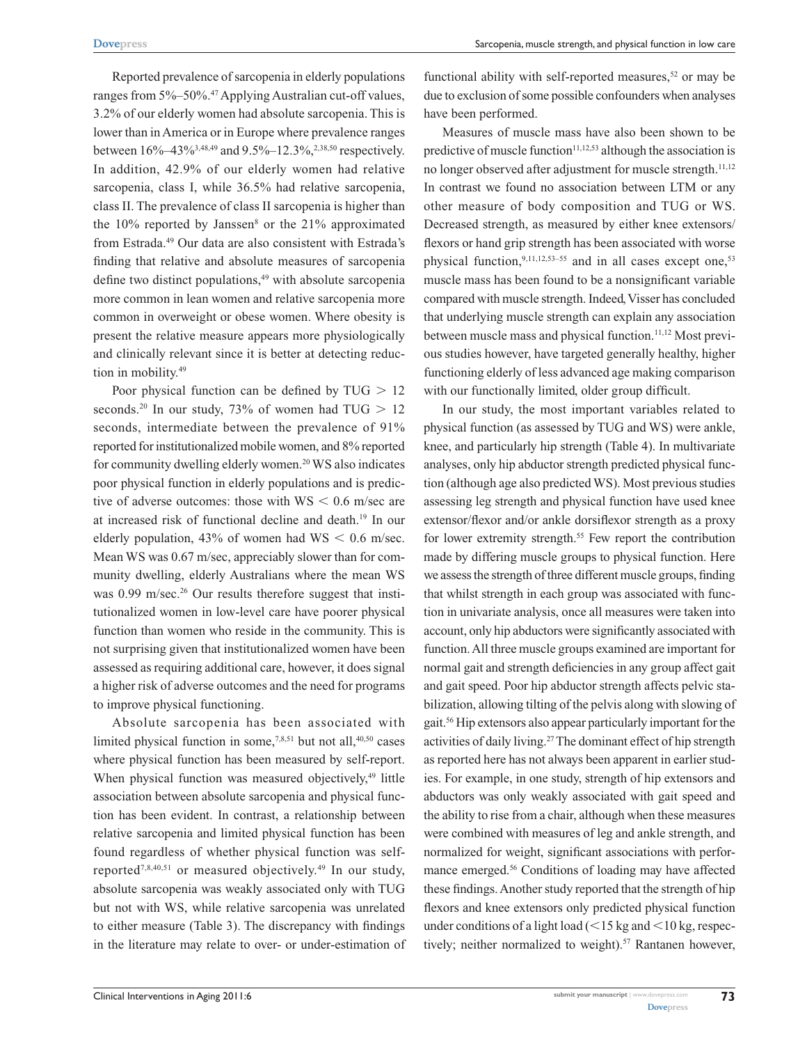Reported prevalence of sarcopenia in elderly populations ranges from 5%–50%.<sup>47</sup> Applying Australian cut-off values, 3.2% of our elderly women had absolute sarcopenia. This is lower than in America or in Europe where prevalence ranges between 16%–43%3,48,49 and 9.5%–12.3%,2,38,50 respectively. In addition, 42.9% of our elderly women had relative sarcopenia, class I, while 36.5% had relative sarcopenia, class II. The prevalence of class II sarcopenia is higher than the  $10\%$  reported by Janssen<sup>8</sup> or the 21% approximated from Estrada.49 Our data are also consistent with Estrada's finding that relative and absolute measures of sarcopenia define two distinct populations,<sup>49</sup> with absolute sarcopenia more common in lean women and relative sarcopenia more common in overweight or obese women. Where obesity is present the relative measure appears more physiologically and clinically relevant since it is better at detecting reduction in mobility.49

Poor physical function can be defined by  $TUG > 12$ seconds.<sup>20</sup> In our study, 73% of women had TUG  $> 12$ seconds, intermediate between the prevalence of 91% reported for institutionalized mobile women, and 8% reported for community dwelling elderly women.20 WS also indicates poor physical function in elderly populations and is predictive of adverse outcomes: those with  $WS < 0.6$  m/sec are at increased risk of functional decline and death.19 In our elderly population, 43% of women had  $WS < 0.6$  m/sec. Mean WS was 0.67 m/sec, appreciably slower than for community dwelling, elderly Australians where the mean WS was 0.99 m/sec.<sup>26</sup> Our results therefore suggest that institutionalized women in low-level care have poorer physical function than women who reside in the community. This is not surprising given that institutionalized women have been assessed as requiring additional care, however, it does signal a higher risk of adverse outcomes and the need for programs to improve physical functioning.

Absolute sarcopenia has been associated with limited physical function in some, $7,8,51$  but not all, $40,50$  cases where physical function has been measured by self-report. When physical function was measured objectively,<sup>49</sup> little association between absolute sarcopenia and physical function has been evident. In contrast, a relationship between relative sarcopenia and limited physical function has been found regardless of whether physical function was selfreported7,8,40,51 or measured objectively.49 In our study, absolute sarcopenia was weakly associated only with TUG but not with WS, while relative sarcopenia was unrelated to either measure (Table 3). The discrepancy with findings in the literature may relate to over- or under-estimation of

functional ability with self-reported measures,<sup>52</sup> or may be due to exclusion of some possible confounders when analyses have been performed.

Measures of muscle mass have also been shown to be predictive of muscle function $11,12,53$  although the association is no longer observed after adjustment for muscle strength.<sup>11,12</sup> In contrast we found no association between LTM or any other measure of body composition and TUG or WS. Decreased strength, as measured by either knee extensors/ flexors or hand grip strength has been associated with worse physical function,<sup>9,11,12,53-55</sup> and in all cases except one,<sup>53</sup> muscle mass has been found to be a nonsignificant variable compared with muscle strength. Indeed, Visser has concluded that underlying muscle strength can explain any association between muscle mass and physical function.<sup>11,12</sup> Most previous studies however, have targeted generally healthy, higher functioning elderly of less advanced age making comparison with our functionally limited, older group difficult.

In our study, the most important variables related to physical function (as assessed by TUG and WS) were ankle, knee, and particularly hip strength (Table 4). In multivariate analyses, only hip abductor strength predicted physical function (although age also predicted WS). Most previous studies assessing leg strength and physical function have used knee extensor/flexor and/or ankle dorsiflexor strength as a proxy for lower extremity strength.<sup>55</sup> Few report the contribution made by differing muscle groups to physical function. Here we assess the strength of three different muscle groups, finding that whilst strength in each group was associated with function in univariate analysis, once all measures were taken into account, only hip abductors were significantly associated with function. All three muscle groups examined are important for normal gait and strength deficiencies in any group affect gait and gait speed. Poor hip abductor strength affects pelvic stabilization, allowing tilting of the pelvis along with slowing of gait.56 Hip extensors also appear particularly important for the activities of daily living.27 The dominant effect of hip strength as reported here has not always been apparent in earlier studies. For example, in one study, strength of hip extensors and abductors was only weakly associated with gait speed and the ability to rise from a chair, although when these measures were combined with measures of leg and ankle strength, and normalized for weight, significant associations with performance emerged.56 Conditions of loading may have affected these findings. Another study reported that the strength of hip flexors and knee extensors only predicted physical function under conditions of a light load  $\left($  < 15 kg and < 10 kg, respectively; neither normalized to weight).<sup>57</sup> Rantanen however,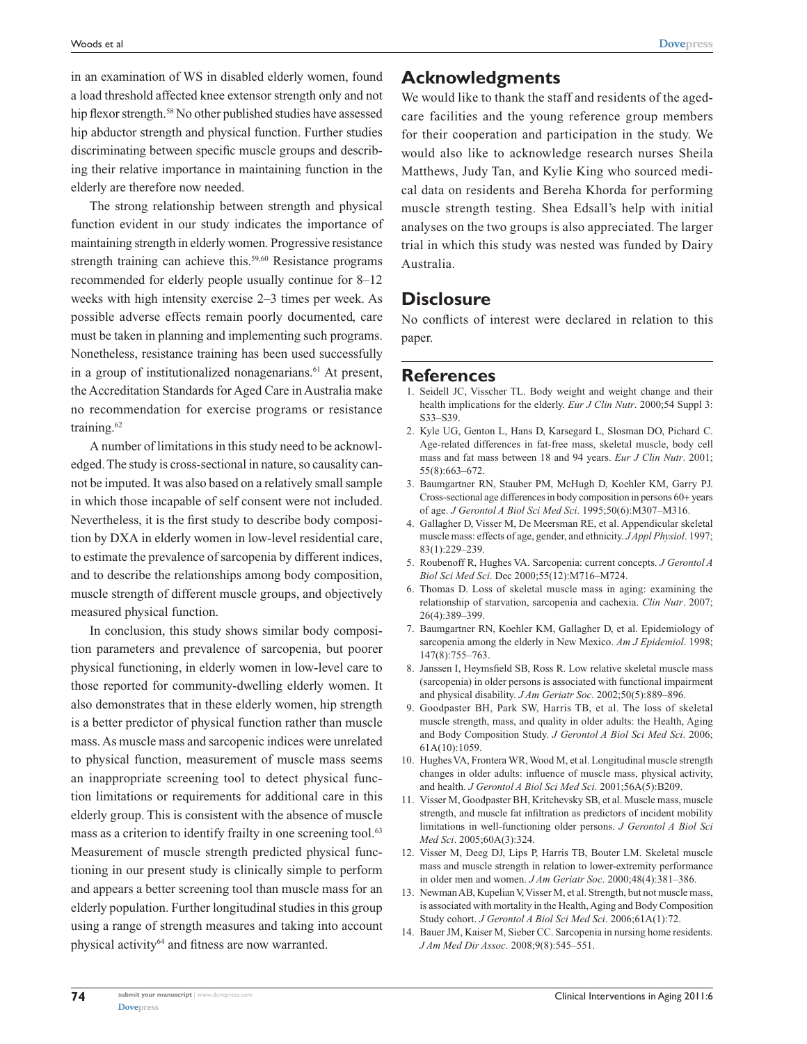in an examination of WS in disabled elderly women, found a load threshold affected knee extensor strength only and not hip flexor strength.<sup>58</sup> No other published studies have assessed hip abductor strength and physical function. Further studies discriminating between specific muscle groups and describing their relative importance in maintaining function in the elderly are therefore now needed.

The strong relationship between strength and physical function evident in our study indicates the importance of maintaining strength in elderly women. Progressive resistance strength training can achieve this.<sup>59,60</sup> Resistance programs recommended for elderly people usually continue for 8–12 weeks with high intensity exercise 2–3 times per week. As possible adverse effects remain poorly documented, care must be taken in planning and implementing such programs. Nonetheless, resistance training has been used successfully in a group of institutionalized nonagenarians. $61$  At present, the Accreditation Standards for Aged Care in Australia make no recommendation for exercise programs or resistance training.<sup>62</sup>

A number of limitations in this study need to be acknowledged. The study is cross-sectional in nature, so causality cannot be imputed. It was also based on a relatively small sample in which those incapable of self consent were not included. Nevertheless, it is the first study to describe body composition by DXA in elderly women in low-level residential care, to estimate the prevalence of sarcopenia by different indices, and to describe the relationships among body composition, muscle strength of different muscle groups, and objectively measured physical function.

In conclusion, this study shows similar body composition parameters and prevalence of sarcopenia, but poorer physical functioning, in elderly women in low-level care to those reported for community-dwelling elderly women. It also demonstrates that in these elderly women, hip strength is a better predictor of physical function rather than muscle mass. As muscle mass and sarcopenic indices were unrelated to physical function, measurement of muscle mass seems an inappropriate screening tool to detect physical function limitations or requirements for additional care in this elderly group. This is consistent with the absence of muscle mass as a criterion to identify frailty in one screening tool.<sup>63</sup> Measurement of muscle strength predicted physical functioning in our present study is clinically simple to perform and appears a better screening tool than muscle mass for an elderly population. Further longitudinal studies in this group using a range of strength measures and taking into account physical activity<sup>64</sup> and fitness are now warranted.

### **Acknowledgments**

We would like to thank the staff and residents of the agedcare facilities and the young reference group members for their cooperation and participation in the study. We would also like to acknowledge research nurses Sheila Matthews, Judy Tan, and Kylie King who sourced medical data on residents and Bereha Khorda for performing muscle strength testing. Shea Edsall's help with initial analyses on the two groups is also appreciated. The larger trial in which this study was nested was funded by Dairy Australia.

## **Disclosure**

No conflicts of interest were declared in relation to this paper.

#### **References**

- 1. Seidell JC, Visscher TL. Body weight and weight change and their health implications for the elderly. *Eur J Clin Nutr*. 2000;54 Suppl 3: S33–S39.
- 2. Kyle UG, Genton L, Hans D, Karsegard L, Slosman DO, Pichard C. Age-related differences in fat-free mass, skeletal muscle, body cell mass and fat mass between 18 and 94 years. *Eur J Clin Nutr*. 2001; 55(8):663–672.
- 3. Baumgartner RN, Stauber PM, McHugh D, Koehler KM, Garry PJ. Cross-sectional age differences in body composition in persons 60+ years of age. *J Gerontol A Biol Sci Med Sci*. 1995;50(6):M307–M316.
- 4. Gallagher D, Visser M, De Meersman RE, et al. Appendicular skeletal muscle mass: effects of age, gender, and ethnicity. *J Appl Physiol*. 1997; 83(1):229–239.
- 5. Roubenoff R, Hughes VA. Sarcopenia: current concepts. *J Gerontol A Biol Sci Med Sci*. Dec 2000;55(12):M716–M724.
- 6. Thomas D. Loss of skeletal muscle mass in aging: examining the relationship of starvation, sarcopenia and cachexia. *Clin Nutr*. 2007; 26(4):389–399.
- 7. Baumgartner RN, Koehler KM, Gallagher D, et al. Epidemiology of sarcopenia among the elderly in New Mexico. *Am J Epidemiol*. 1998; 147(8):755–763.
- 8. Janssen I, Heymsfield SB, Ross R. Low relative skeletal muscle mass (sarcopenia) in older persons is associated with functional impairment and physical disability. *J Am Geriatr Soc*. 2002;50(5):889–896.
- 9. Goodpaster BH, Park SW, Harris TB, et al. The loss of skeletal muscle strength, mass, and quality in older adults: the Health, Aging and Body Composition Study. *J Gerontol A Biol Sci Med Sci*. 2006; 61A(10):1059.
- 10. Hughes VA, Frontera WR, Wood M, et al. Longitudinal muscle strength changes in older adults: influence of muscle mass, physical activity, and health. *J Gerontol A Biol Sci Med Sci*. 2001;56A(5):B209.
- 11. Visser M, Goodpaster BH, Kritchevsky SB, et al. Muscle mass, muscle strength, and muscle fat infiltration as predictors of incident mobility limitations in well-functioning older persons. *J Gerontol A Biol Sci Med Sci*. 2005;60A(3):324.
- 12. Visser M, Deeg DJ, Lips P, Harris TB, Bouter LM. Skeletal muscle mass and muscle strength in relation to lower-extremity performance in older men and women. *J Am Geriatr Soc*. 2000;48(4):381–386.
- 13. Newman AB, Kupelian V, Visser M, et al. Strength, but not muscle mass, is associated with mortality in the Health, Aging and Body Composition Study cohort. *J Gerontol A Biol Sci Med Sci*. 2006;61A(1):72.
- 14. Bauer JM, Kaiser M, Sieber CC. Sarcopenia in nursing home residents. *J Am Med Dir Assoc*. 2008;9(8):545–551.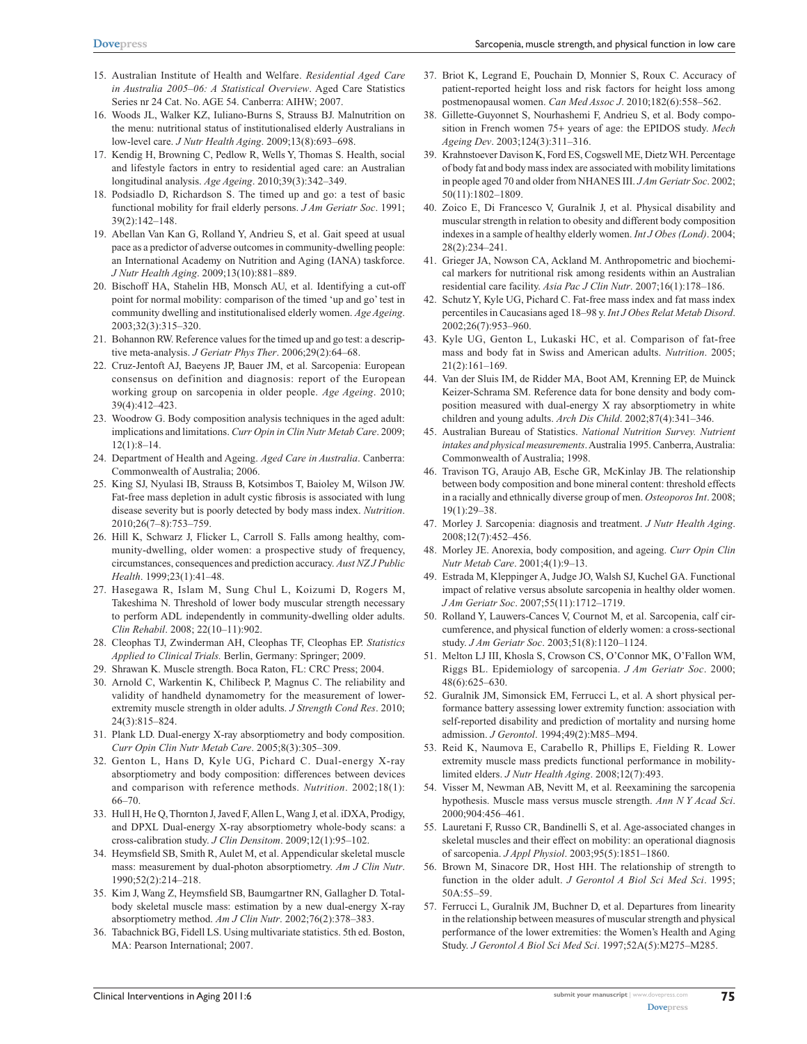- 15. Australian Institute of Health and Welfare. *Residential Aged Care in Australia 2005–06: A Statistical Overview*. Aged Care Statistics Series nr 24 Cat. No. AGE 54. Canberra: AIHW; 2007.
- 16. Woods JL, Walker KZ, Iuliano-Burns S, Strauss BJ. Malnutrition on the menu: nutritional status of institutionalised elderly Australians in low-level care. *J Nutr Health Aging*. 2009;13(8):693–698.
- 17. Kendig H, Browning C, Pedlow R, Wells Y, Thomas S. Health, social and lifestyle factors in entry to residential aged care: an Australian longitudinal analysis. *Age Ageing*. 2010;39(3):342–349.
- 18. Podsiadlo D, Richardson S. The timed up and go: a test of basic functional mobility for frail elderly persons. *J Am Geriatr Soc*. 1991; 39(2):142–148.
- 19. Abellan Van Kan G, Rolland Y, Andrieu S, et al. Gait speed at usual pace as a predictor of adverse outcomes in community-dwelling people: an International Academy on Nutrition and Aging (IANA) taskforce. *J Nutr Health Aging*. 2009;13(10):881–889.
- 20. Bischoff HA, Stahelin HB, Monsch AU, et al. Identifying a cut-off point for normal mobility: comparison of the timed 'up and go' test in community dwelling and institutionalised elderly women. *Age Ageing*. 2003;32(3):315–320.
- 21. Bohannon RW. Reference values for the timed up and go test: a descriptive meta-analysis. *J Geriatr Phys Ther*. 2006;29(2):64–68.
- 22. Cruz-Jentoft AJ, Baeyens JP, Bauer JM, et al. Sarcopenia: European consensus on definition and diagnosis: report of the European working group on sarcopenia in older people. *Age Ageing*. 2010; 39(4):412–423.
- 23. Woodrow G. Body composition analysis techniques in the aged adult: implications and limitations. *Curr Opin in Clin Nutr Metab Care*. 2009; 12(1):8–14.
- 24. Department of Health and Ageing. *Aged Care in Australia*. Canberra: Commonwealth of Australia; 2006.
- 25. King SJ, Nyulasi IB, Strauss B, Kotsimbos T, Baioley M, Wilson JW. Fat-free mass depletion in adult cystic fibrosis is associated with lung disease severity but is poorly detected by body mass index. *Nutrition*. 2010;26(7–8):753–759.
- 26. Hill K, Schwarz J, Flicker L, Carroll S. Falls among healthy, community-dwelling, older women: a prospective study of frequency, circumstances, consequences and prediction accuracy. *Aust NZ J Public Health*. 1999;23(1):41–48.
- 27. Hasegawa R, Islam M, Sung Chul L, Koizumi D, Rogers M, Takeshima N. Threshold of lower body muscular strength necessary to perform ADL independently in community-dwelling older adults. *Clin Rehabil*. 2008; 22(10–11):902.
- 28. Cleophas TJ, Zwinderman AH, Cleophas TF, Cleophas EP. *Statistics Applied to Clinical Trials.* Berlin, Germany: Springer; 2009.
- 29. Shrawan K. Muscle strength. Boca Raton, FL: CRC Press; 2004.
- 30. Arnold C, Warkentin K, Chilibeck P, Magnus C. The reliability and validity of handheld dynamometry for the measurement of lowerextremity muscle strength in older adults. *J Strength Cond Res*. 2010; 24(3):815–824.
- 31. Plank LD. Dual-energy X-ray absorptiometry and body composition. *Curr Opin Clin Nutr Metab Care*. 2005;8(3):305–309.
- 32. Genton L, Hans D, Kyle UG, Pichard C. Dual-energy X-ray absorptiometry and body composition: differences between devices and comparison with reference methods. *Nutrition*. 2002;18(1): 66–70.
- 33. Hull H, He Q, Thornton J, Javed F, Allen L, Wang J, et al. iDXA, Prodigy, and DPXL Dual-energy X-ray absorptiometry whole-body scans: a cross-calibration study. *J Clin Densitom*. 2009;12(1):95–102.
- 34. Heymsfield SB, Smith R, Aulet M, et al. Appendicular skeletal muscle mass: measurement by dual-photon absorptiometry. *Am J Clin Nutr*. 1990;52(2):214–218.
- 35. Kim J, Wang Z, Heymsfield SB, Baumgartner RN, Gallagher D. Totalbody skeletal muscle mass: estimation by a new dual-energy X-ray absorptiometry method. *Am J Clin Nutr*. 2002;76(2):378–383.
- 36. Tabachnick BG, Fidell LS. Using multivariate statistics. 5th ed. Boston, MA: Pearson International; 2007.
- 37. Briot K, Legrand E, Pouchain D, Monnier S, Roux C. Accuracy of patient-reported height loss and risk factors for height loss among postmenopausal women. *Can Med Assoc J*. 2010;182(6):558–562.
- 38. Gillette-Guyonnet S, Nourhashemi F, Andrieu S, et al. Body composition in French women 75+ years of age: the EPIDOS study. *Mech Ageing Dev*. 2003;124(3):311–316.
- 39. Krahnstoever Davison K, Ford ES, Cogswell ME, Dietz WH. Percentage of body fat and body mass index are associated with mobility limitations in people aged 70 and older from NHANES III. *J Am Geriatr Soc*. 2002; 50(11):1802–1809.
- 40. Zoico E, Di Francesco V, Guralnik J, et al. Physical disability and muscular strength in relation to obesity and different body composition indexes in a sample of healthy elderly women. *Int J Obes (Lond)*. 2004; 28(2):234–241.
- 41. Grieger JA, Nowson CA, Ackland M. Anthropometric and biochemical markers for nutritional risk among residents within an Australian residential care facility. *Asia Pac J Clin Nutr*. 2007;16(1):178–186.
- 42. Schutz Y, Kyle UG, Pichard C. Fat-free mass index and fat mass index percentiles in Caucasians aged 18–98 y. *Int J Obes Relat Metab Disord*. 2002;26(7):953–960.
- 43. Kyle UG, Genton L, Lukaski HC, et al. Comparison of fat-free mass and body fat in Swiss and American adults. *Nutrition*. 2005; 21(2):161–169.
- 44. Van der Sluis IM, de Ridder MA, Boot AM, Krenning EP, de Muinck Keizer-Schrama SM. Reference data for bone density and body composition measured with dual-energy X ray absorptiometry in white children and young adults. *Arch Dis Child*. 2002;87(4):341–346.
- 45. Australian Bureau of Statistics. *National Nutrition Survey. Nutrient intakes and physical measurements*. Australia 1995. Canberra, Australia: Commonwealth of Australia; 1998.
- 46. Travison TG, Araujo AB, Esche GR, McKinlay JB. The relationship between body composition and bone mineral content: threshold effects in a racially and ethnically diverse group of men. *Osteoporos Int*. 2008; 19(1):29–38.
- 47. Morley J. Sarcopenia: diagnosis and treatment. *J Nutr Health Aging*. 2008;12(7):452–456.
- 48. Morley JE. Anorexia, body composition, and ageing. *Curr Opin Clin Nutr Metab Care*. 2001;4(1):9–13.
- 49. Estrada M, Kleppinger A, Judge JO, Walsh SJ, Kuchel GA. Functional impact of relative versus absolute sarcopenia in healthy older women. *J Am Geriatr Soc*. 2007;55(11):1712–1719.
- 50. Rolland Y, Lauwers-Cances V, Cournot M, et al. Sarcopenia, calf circumference, and physical function of elderly women: a cross-sectional study. *J Am Geriatr Soc*. 2003;51(8):1120–1124.
- 51. Melton LJ III, Khosla S, Crowson CS, O'Connor MK, O'Fallon WM, Riggs BL. Epidemiology of sarcopenia. *J Am Geriatr Soc*. 2000; 48(6):625–630.
- 52. Guralnik JM, Simonsick EM, Ferrucci L, et al. A short physical performance battery assessing lower extremity function: association with self-reported disability and prediction of mortality and nursing home admission. *J Gerontol*. 1994;49(2):M85–M94.
- 53. Reid K, Naumova E, Carabello R, Phillips E, Fielding R. Lower extremity muscle mass predicts functional performance in mobilitylimited elders. *J Nutr Health Aging*. 2008;12(7):493.
- 54. Visser M, Newman AB, Nevitt M, et al. Reexamining the sarcopenia hypothesis. Muscle mass versus muscle strength. *Ann N Y Acad Sci*. 2000;904:456–461.
- 55. Lauretani F, Russo CR, Bandinelli S, et al. Age-associated changes in skeletal muscles and their effect on mobility: an operational diagnosis of sarcopenia. *J Appl Physiol*. 2003;95(5):1851–1860.
- 56. Brown M, Sinacore DR, Host HH. The relationship of strength to function in the older adult. *J Gerontol A Biol Sci Med Sci*. 1995; 50A:55–59.
- 57. Ferrucci L, Guralnik JM, Buchner D, et al. Departures from linearity in the relationship between measures of muscular strength and physical performance of the lower extremities: the Women's Health and Aging Study. *J Gerontol A Biol Sci Med Sci*. 1997;52A(5):M275–M285.